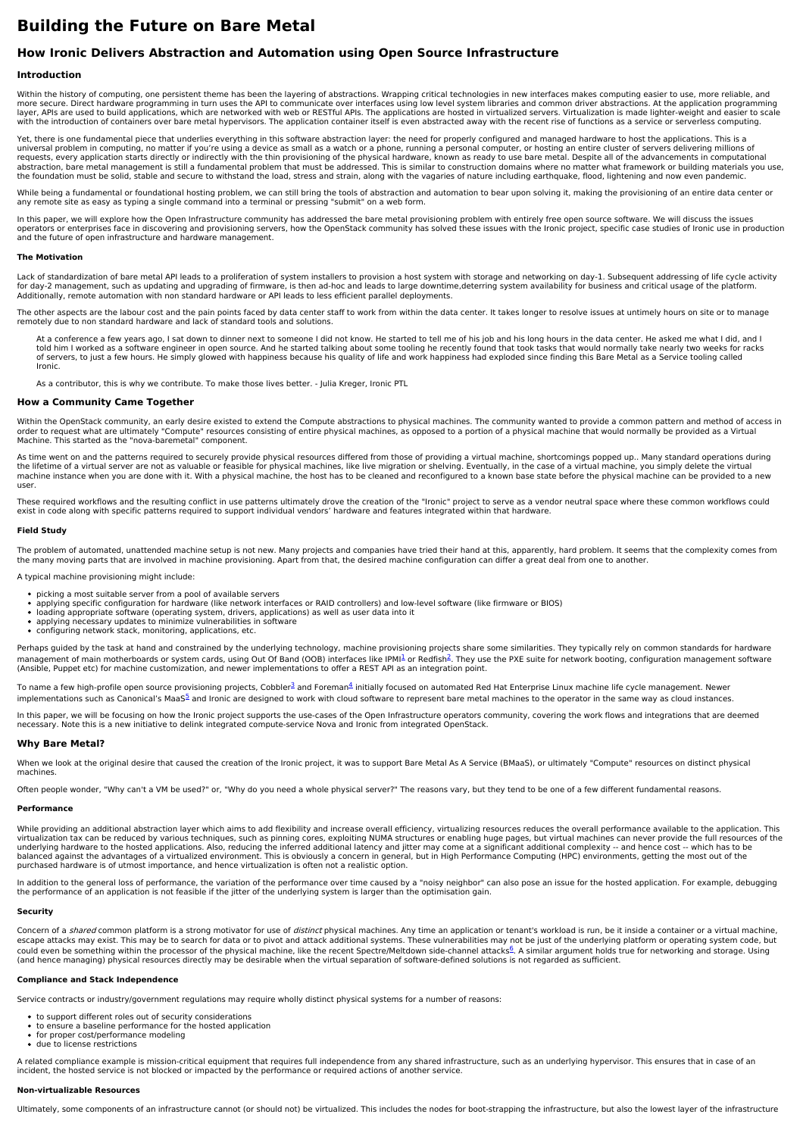# **Building the Future on Bare Metal**

# **How Ironic Delivers Abstraction and Automation using Open Source Infrastructure**

# **Introduction**

Within the history of computing, one persistent theme has been the layering of abstractions. Wrapping critical technologies in new interfaces makes computing easier to use, more reliable, and more secure. Direct hardware programming in turn uses the API to communicate over interfaces using low level system libraries and common driver abstractions. At the application programming layer, APIs are used to build applications, which are networked with web or RESTful APIs. The applications are hosted in virtualized servers. Virtualization is made lighter-weight and easier to scale with the introduction of containers over bare metal hypervisors. The application container itself is even abstracted away with the recent rise of functions as a service or serverless computing.

Yet, there is one fundamental piece that underlies everything in this software abstraction layer: the need for properly configured and managed hardware to host the applications. This is a<br>universal problem in computing, no requests, every application starts directly or indirectly with the thin provisioning of the physical hardware, known as ready to use bare metal. Despite all of the advancements in computational<br>abstraction, bare metal mana the foundation must be solid, stable and secure to withstand the load, stress and strain, along with the vagaries of nature including earthquake, flood, lightening and now even pandemic.

While being a fundamental or foundational hosting problem, we can still bring the tools of abstraction and automation to bear upon solving it, making the provisioning of an entire data center or any remote site as easy as typing a single command into a terminal or pressing "submit" on a web form.

In this paper, we will explore how the Open Infrastructure community has addressed the bare metal provisioning problem with entirely free open source software. We will discuss the issues<br>operators or enterprises face in di and the future of open infrastructure and hardware management.

## **The Motivation**

Lack of standardization of bare metal API leads to a proliferation of system installers to provision a host system with storage and networking on day-1. Subsequent addressing of life cycle activity for day-2 management, such as updating and upgrading of firmware, is then ad-hoc and leads to large downtime,deterring system availability for business and critical usage of the platform.<br>Additionally, remote automation wi

The other aspects are the labour cost and the pain points faced by data center staff to work from within the data center. It takes longer to resolve issues at untimely hours on site or to manage<br>remotely due to non standar

At a conference a few years ago, I sat down to dinner next to someone I did not know. He started to tell me of his job and his long hours in the data center. He asked me what I did, and I<br>told him I worked as a software en of servers, to just a few hours. He simply glowed with happiness because his quality of life and work happiness had exploded since finding this Bare Metal as a Service tooling called Ironic.

As a contributor, this is why we contribute. To make those lives better. - Julia Kreger, Ironic PTL

## **How a Community Came Together**

Within the OpenStack community, an early desire existed to extend the Compute abstractions to physical machines. The community wanted to provide a common pattern and method of access in order to request what are ultimately "Compute" resources consisting of entire physical machines, as opposed to a portion of a physical machine that would normally be provided as a Virtual<br>Machine. This started as the "nova

As time went on and the patterns required to securely provide physical resources differed from those of providing a virtual machine, shortcomings popped up.. Many standard operations during<br>the lifetime of a virtual server machine instance when you are done with it. With a physical machine, the host has to be cleaned and reconfigured to a known base state before the physical machine can be provided to a new user.

These required workflows and the resulting conflict in use patterns ultimately drove the creation of the "Ironic" project to serve as a vendor neutral space where these common workflows could<br>exist in code along with speci

## **Field Study**

The problem of automated, unattended machine setup is not new. Many projects and companies have tried their hand at this, apparently, hard problem. It seems that the complexity comes from the many moving parts that are involved in machine provisioning. Apart from that, the desired machine configuration can differ a great deal from one to another.

A typical machine provisioning might include:

- 
- picking a most suitable server from a pool of available servers<br>applying specific configuration for hardware (like network interfaces or RAID controllers) and low-level software (like firmware or BIOS)
- $\ddot{\phantom{a}}$ loading appropriate software (operating system, drivers, applications) as well as user data into it<br>applying necessary updates to minimize vulnerabilities in software
- configuring network stack, monitoring, applications, etc.

Perhaps guided by the task at hand and constrained by the underlying technology, machine provisioning projects share some similarities. They typically rely on common standards for hardware management of main motherboards or system cards, using Out Of Band (OOB) interfaces like IPM<sup>[1](file:///tmp/bare-metal/white-paper#1)</sup> or Redfish<sup>[2](file:///tmp/bare-metal/white-paper#2)</sup>. They use the PXE suite for network booting, configuration management software (Ansible, Puppet etc) for machine customization, and newer implementations to offer a REST API as an integration point.

To name a few high-profile open source provisioning projects, Cobbler<sup>[3](file:///tmp/bare-metal/white-paper#3)</sup> and Foreman<sup>[4](file:///tmp/bare-metal/white-paper#4)</sup> initially focused on automated Red Hat Enterprise Linux machine life cycle management. Newer implementations such as Canonical's MaaS<sup>[5](file:///tmp/bare-metal/white-paper#5)</sup> and Ironic are designed to work with cloud software to represent bare metal machines to the operator in the same way as cloud instances.

In this paper, we will be focusing on how the Ironic project supports the use-cases of the Open Infrastructure operators community, covering the work flows and integrations that are deemed<br>necessary. Note this is a new ini

# **Why Bare Metal?**

When we look at the original desire that caused the creation of the Ironic project, it was to support Bare Metal As A Service (BMaaS), or ultimately "Compute" resources on distinct physical machines.

Often people wonder, "Why can't a VM be used?" or, "Why do you need a whole physical server?" The reasons vary, but they tend to be one of a few different fundamental reasons.

#### **Performance**

While providing an additional abstraction layer which aims to add flexibility and increase overall efficiency, virtualizing resources reduces the overall performance available to the application. This<br>virtualization tax ca underlying hardware to the hosted applications. Also, reducing the inferred additional latency and jitter may come at a significant additional complexity -- and hence cost -- which has to be<br>balanced against the advantages purchased hardware is of utmost importance, and hence virtualization is often not a realistic option.

In addition to the general loss of performance, the variation of the performance over time caused by a "noisy neighbor" can also pose an issue for the hosted application. For example, debugging the performance of an application is not feasible if the jitter of the underlying system is larger than the optimisation gain.

# **Security**

Concern of a *shared* common platform is a strong motivator for use of *distinct* physical machines. Any time an application or tenant's workload is run, be it inside a container or a virtual machine,<br>escape attacks may ex could even be something within the processor of the physical machine, like the recent Spectre/Meltdown side-channel attacks<sup>[6](file:///tmp/bare-metal/white-paper#6)</sup>. A similar argument holds true for networking and storage. Using (and hence managing) physical resources directly may be desirable when the virtual separation of software-defined solutions is not regarded as sufficient.

# **Compliance and Stack Independence**

Service contracts or industry/government regulations may require wholly distinct physical systems for a number of reasons:

- to support different roles out of security considerations
- to ensure a baseline performance for the hosted application
- for proper cost/performance modeling due to license restrictions

A related compliance example is mission-critical equipment that requires full independence from any shared infrastructure, such as an underlying hypervisor. This ensures that in case of an incident, the hosted service is not blocked or impacted by the performance or required actions of another service.

# **Non-virtualizable Resources**

Ultimately, some components of an infrastructure cannot (or should not) be virtualized. This includes the nodes for boot-strapping the infrastructure, but also the lowest layer of the infrastructure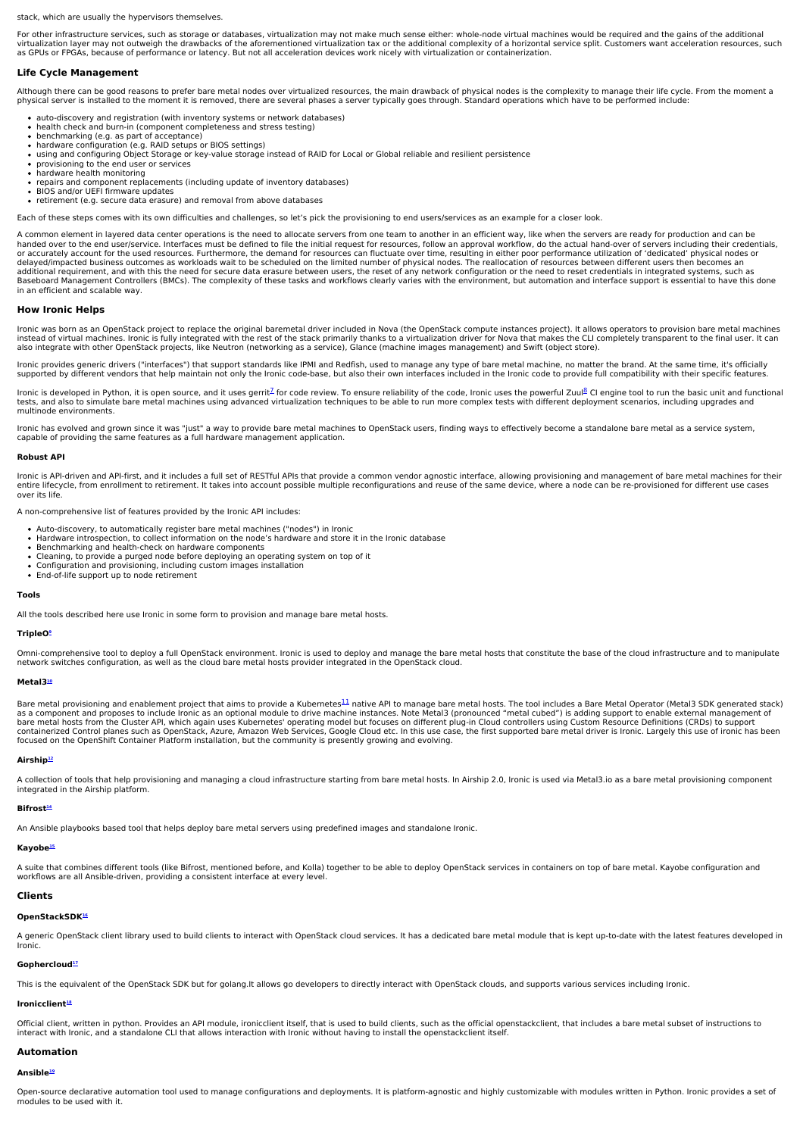stack, which are usually the hypervisors themselves.

For other infrastructure services, such as storage or databases, virtualization may not make much sense either: whole-node virtual machines would be required and the gains of the additional virtualization layer may not outweigh the drawbacks of the aforementioned virtualization tax or the additional complexity of a horizontal service split. Customers want acceleration resources, such as GPUs or FPGAs, because of performance or latency. But not all acceleration devices work nicely with virtualization or containerization.

# **Life Cycle Management**

Although there can be good reasons to prefer bare metal nodes over virtualized resources, the main drawback of physical nodes is the complexity to manage their life cycle. From the moment a physical server is installed to the moment it is removed, there are several phases a server typically goes through. Standard operations which have to be performed include:

- auto-discovery and registration (with inventory systems or network databases)
- $\ddot{\phantom{0}}$ health check and burn-in (component completeness and stress testing) benchmarking (e.g. as part of acceptance)
- $\bullet$
- hardware configuration (e.g. RAID setups or BIOS settings)<br>using and configuring Object Storage or key-value storage instead of RAID for Local or Global reliable and resilient persistence
- provisioning to the end user or services
- hardware health monitoring
- repairs and component replacements (including update of inventory databases)
- 
- BIOS and/or UEFI firmware updates retirement (e.g. secure data erasure) and removal from above databases

Each of these steps comes with its own difficulties and challenges, so let's pick the provisioning to end users/services as an example for a closer look.

A common element in layered data center operations is the need to allocate servers from one team to another in an efficient way, like when the servers are ready for production and can be handed over to the end user/service. Interfaces must be defined to file the initial request for resources, follow an approval workflow, do the actual hand-over of servers including their credentials, or accurately account for the used resources. Furthermore, the demand for resources can fluctuate over time, resulting in either poor performance utilization of 'dedicated' physical nodes or<br>delayed/impacted business outco additional requirement, and with this the need for secure data erasure between users, the reset of any network configuration or the need to reset credentials in integrated systems, such as Baseboard Management Controllers (BMCs). The complexity of these tasks and workflows clearly varies with the environment, but automation and interface support is essential to have this done in an efficient and scalable way.

#### **How Ironic Helps**

Ironic was born as an OpenStack project to replace the original baremetal driver included in Nova (the OpenStack compute instances project). It allows operators to provision bare metal machines<br>instead of virtual machines. also integrate with other OpenStack projects, like Neutron (networking as a service), Glance (machine images management) and Swift (object store).

Ironic provides generic drivers ("interfaces") that support standards like IPMI and Redfish, used to manage any type of bare metal machine, no matter the brand. At the same time, it's officially supported by different vendors that help maintain not only the Ironic code-base, but also their own interfaces included in the Ironic code to provide full compatibility with their specific features.

Ironic is developed in Python, it is open source, and it uses gerrit<sup>[7](https://www.openstack.org/)</sup> for code review. To ensure reliability of the code, Ironic uses the powerful Zuul<sup>[8](https://www.openstack.org/)</sup> CI engine tool to run the basic unit and functional<br>tests, and al multinode environments.

Ironic has evolved and grown since it was "just" a way to provide bare metal machines to OpenStack users, finding ways to effectively become a standalone bare metal as a service system, capable of providing the same features as a full hardware management application.

#### **Robust API**

Ironic is API-driven and API-first, and it includes a full set of RESTful APIs that provide a common vendor agnostic interface, allowing provisioning and management of bare metal machines for their entire lifecycle, from enrollment to retirement. It takes into account possible multiple reconfigurations and reuse of the same device, where a node can be re-provisioned for different use cases over its life.

A non-comprehensive list of features provided by the Ironic API includes:

- 
- Auto-discovery, to automatically register bare metal machines ("nodes") in Ironic<br>Hardware introspection, to collect information on the node's hardware and store it in the Ironic database
- $\bullet$
- Benchmarking and health-check on hardware components<br>Cleaning, to provide a purged node before deploying an operating system on top of it
- Configuration and provisioning, including custom images installation End-of-life support up to node retirement

#### **Tools**

All the tools described here use Ironic in some form to provision and manage bare metal hosts.

#### **TripleO[9](file:///tmp/bare-metal/white-paper#9)**

Omni-comprehensive tool to deploy a full OpenStack environment. Ironic is used to deploy and manage the bare metal hosts that constitute the base of the cloud infrastructure and to manipulate<br>network switches configuration

#### **Metal3 [10](file:///tmp/bare-metal/white-paper#10)**

Bare metal provisioning and enablement project that aims to provide a Kubernetes<sup>[11](file:///tmp/bare-metal/white-paper#11)</sup> native API to manage bare metal hosts. The tool includes a Bare Metal Operator (Metal3 SDK generated stack)<br>bas a component and proposes focused on the OpenShift Container Platform installation, but the community is presently growing and evolving.

#### **Airship [12](file:///tmp/bare-metal/white-paper#12)**

A collection of tools that help provisioning and managing a cloud infrastructure starting from bare metal hosts. In Airship 2.0, Ironic is used via Metal3.io as a bare metal provisioning component integrated in the Airship platform.

#### **Bifrost [14](file:///tmp/bare-metal/white-paper#14)**

An Ansible playbooks based tool that helps deploy bare metal servers using predefined images and standalone Ironic.

# **Kayobe [15](file:///tmp/bare-metal/white-paper#15)**

**Clients**

Ironic.

A suite that combines different tools (like Bifrost, mentioned before, and Kolla) together to be able to deploy OpenStack services in containers on top of bare metal. Kayobe configuration and workflows are all Ansible-driven, providing a consistent interface at every level.

# **OpenStackSDK[16](file:///tmp/bare-metal/white-paper#16)**

A generic OpenStack client library used to build clients to interact with OpenStack cloud services. It has a dedicated bare metal module that is kept up-to-date with the latest features developed in

# **Gophercloud [17](file:///tmp/bare-metal/white-paper#17)**

This is the equivalent of the OpenStack SDK but for golang.It allows go developers to directly interact with OpenStack clouds, and supports various services including Ironic.

# **Ironicclient [18](file:///tmp/bare-metal/white-paper#18)**

Official client, written in python. Provides an API module, ironicclient itself, that is used to build clients, such as the official openstackclient, that includes a bare metal subset of instructions to interact with Ironic, and a standalone CLI that allows interaction with Ironic without having to install the openstackclient itself.

## **Automation**

# **Ansible [19](file:///tmp/bare-metal/white-paper#19)**

Open-source declarative automation tool used to manage configurations and deployments. It is platform-agnostic and highly customizable with modules written in Python. Ironic provides a set of modules to be used with it.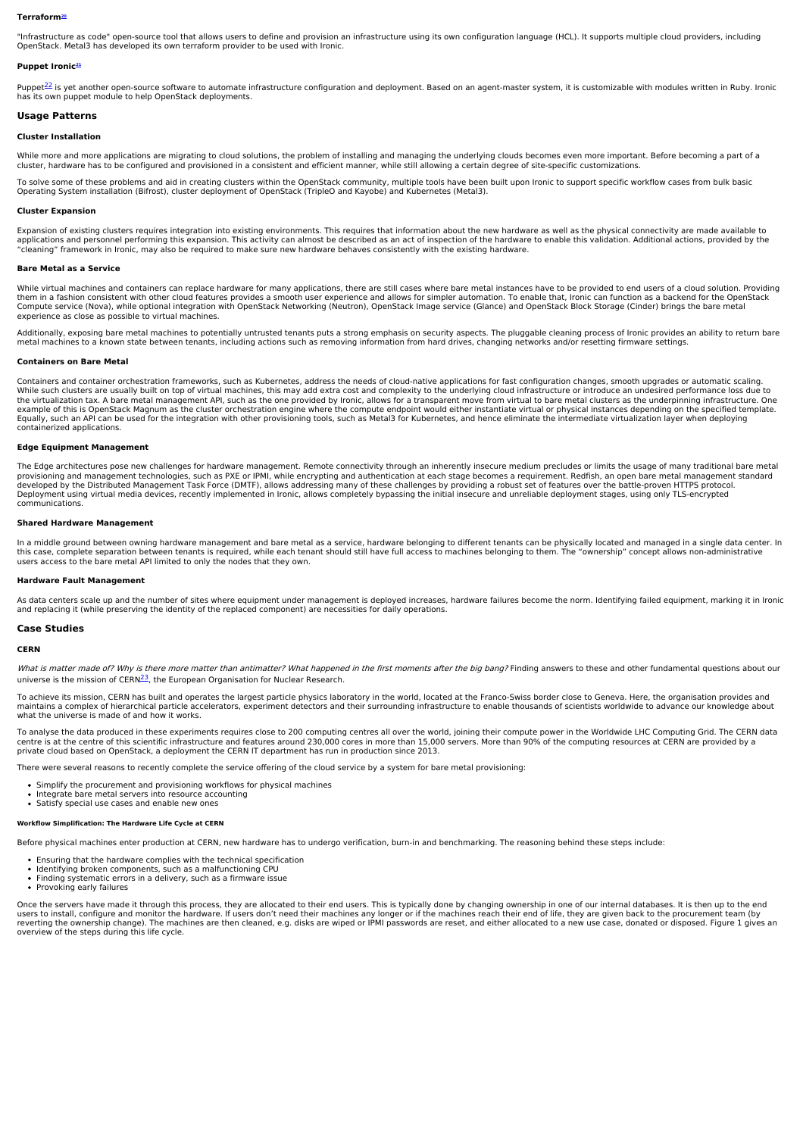#### **Terraform[20](file:///tmp/bare-metal/white-paper#20)**

"Infrastructure as code" open-source tool that allows users to define and provision an infrastructure using its own configuration language (HCL). It supports multiple cloud providers, including OpenStack. Metal3 has developed its own terraform provider to be used with Ironic.

# **Puppet Ironic [21](file:///tmp/bare-metal/white-paper#21)**

Puppet<sup>[22](file:///tmp/bare-metal/white-paper#22)</sup> is yet another open-source software to automate infrastructure configuration and deployment. Based on an agent-master system, it is customizable with modules written in Ruby. Ironic has its own puppet module to help OpenStack deployments.

# **Usage Patterns**

# **Cluster Installation**

While more and more applications are migrating to cloud solutions, the problem of installing and managing the underlying clouds becomes even more important. Before becoming a part of a cluster, hardware has to be configured and provisioned in a consistent and efficient manner, while still allowing a certain degree of site-specific customizations.

To solve some of these problems and aid in creating clusters within the OpenStack community, multiple tools have been built upon Ironic to support specific workflow cases from bulk basic Operating System installation (Bifrost), cluster deployment of OpenStack (TripleO and Kayobe) and Kubernetes (Metal3).

#### **Cluster Expansion**

Expansion of existing clusters requires integration into existing environments. This requires that information about the new hardware as well as the physical connectivity are made available to applications and personnel performing this expansion. This activity can almost be described as an act of inspection of the hardware to enable this validation. Additional actions, provided by the<br>"cleaning" framework in Iro

#### **Bare Metal as a Service**

While virtual machines and containers can replace hardware for many applications, there are still cases where bare metal instances have to be provided to end users of a cloud solution. Providing them in a fashion consistent with other cloud features provides a smooth user experience and allows for simpler automation. To enable that, Ironic can function as a backend for the OpenStack<br>Compute service (Nova), while o experience as close as possible to virtual machines.

Additionally, exposing bare metal machines to potentially untrusted tenants puts a strong emphasis on security aspects. The pluggable cleaning process of Ironic provides an ability to return bare metal machines to a known state between tenants, including actions such as removing information from hard drives, changing networks and/or resetting firmware settings.

#### **Containers on Bare Metal**

Containers and container orchestration frameworks, such as Kubernetes, address the needs of cloud-native applications for fast configuration changes, smooth upgrades or automatic scaling.<br>While such clusters are usually bu the virtualization tax. A bare metal management API, such as the one provided by Ironic, allows for a transparent move from virtual to bare metal clusters as the underpinning infrastructure. One<br>example of this is OpenStac Equally, such an API can be used for the integration with other provisioning tools, such as Metal3 for Kubernetes, and hence eliminate the intermediate virtualization layer when deploying containerized applications.

#### **Edge Equipment Management**

The Edge architectures pose new challenges for hardware management. Remote connectivity through an inherently insecure medium precludes or limits the usage of many traditional bare metal provisioning and management technologies, such as PXE or IPMI, while encrypting and authentication at each stage becomes a requirement. Redfish, an open bare metal management standard<br>developed by the Distributed Managemen Deployment using virtual media devices, recently implemented in Ironic, allows completely bypassing the initial insecure and unreliable deployment stages, using only TLS-encrypted communications.

## **Shared Hardware Management**

In a middle ground between owning hardware management and bare metal as a service, hardware belonging to different tenants can be physically located and managed in a single data center. In<br>this case, complete separation be

#### **Hardware Fault Management**

As data centers scale up and the number of sites where equipment under management is deployed increases, hardware failures become the norm. Identifying failed equipment, marking it in Ironic and replacing it (while preserving the identity of the replaced component) are necessities for daily operations.

# **Case Studies**

# **CERN**

What is matter made of? Why is there more matter than antimatter? What happened in the first moments after the big bang? Finding answers to these and other fundamental questions about our universe is the mission of CERN<sup>[23](file:///tmp/bare-metal/white-paper#23)</sup>, the European Organisation for Nuclear Research.

To achieve its mission, CERN has built and operates the largest particle physics laboratory in the world, located at the Franco-Swiss border close to Geneva. Here, the organisation provides and maintains a complex of hierarchical particle accelerators, experiment detectors and their surrounding infrastructure to enable thousands of scientists worldwide to advance our knowledge about<br>what the universe is made of a

To analyse the data produced in these experiments requires close to 200 computing centres all over the world, joining their compute power in the Worldwide LHC Computing Grid. The CERN data<br>centre is at the centre of this s

There were several reasons to recently complete the service offering of the cloud service by a system for bare metal provisioning:

- Simplify the procurement and provisioning workflows for physical machines
- Integrate bare metal servers into resource accounting Satisfy special use cases and enable new ones

# **Workflow Simplification: The Hardware Life Cycle at CERN**

Before physical machines enter production at CERN, new hardware has to undergo verification, burn-in and benchmarking. The reasoning behind these steps include:

- Ensuring that the hardware complies with the technical specification
- Identifying broken components, such as a malfunctioning CPU Finding systematic errors in a delivery, such as a firmware issue
- Provoking early failures

Once the servers have made it through this process, they are allocated to their end users. This is typically done by changing ownership in one of our internal databases. It is then up to the end<br>users to install, configure reverting the ownership change). The machines are then cleaned, e.g. disks are wiped or IPMI passwords are reset, and either allocated to a new use case, donated or disposed. Figure 1 gives an<br>overview of the steps during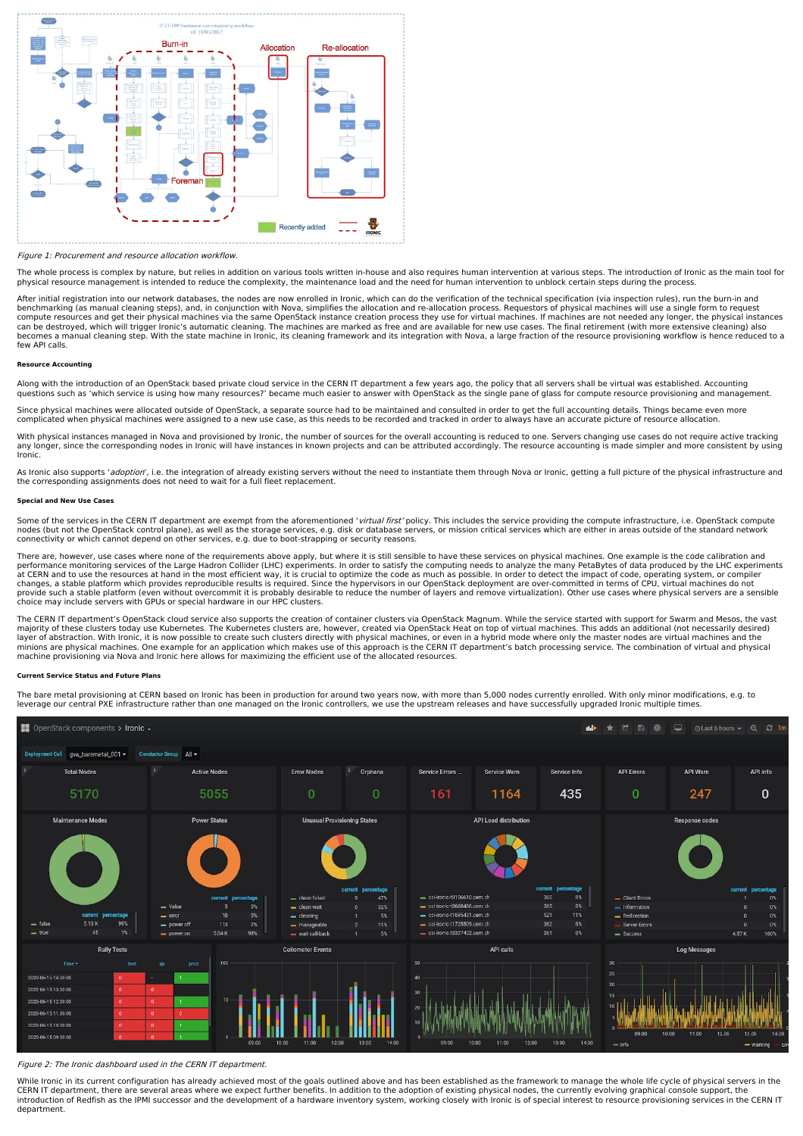

Figure 1: Procurement and resource allocation workflow.

The whole process is complex by nature, but relies in addition on various tools written in-house and also requires human intervention at various steps. The introduction of Ironic as the main tool for physical resource management is intended to reduce the complexity, the maintenance load and the need for human intervention to unblock certain steps during the process.

After initial registration into our network databases, the nodes are now enrolled in Ironic, which can do the verification of the technical specification (via inspection rules), run the burn-in and benchmarking (as manual cleaning steps), and, in conjunction with Nova, simplifies the allocation and re-allocation process. Requestors of physical machines will use a single form to request<br>compute resources and get their few API calls.

#### **Resource Accounting**

Along with the introduction of an OpenStack based private cloud service in the CERN IT department a few years ago, the policy that all servers shall be virtual was established. Accounting questions such as 'which service is using how many resources?' became much easier to answer with OpenStack as the single pane of glass for compute resource provisioning and management.

Since physical machines were allocated outside of OpenStack, a separate source had to be maintained and consulted in order to get the full accounting details. Things became even more complicated when physical machines were assigned to a new use case, as this needs to be recorded and tracked in order to always have an accurate picture of resource allocation.

With physical instances managed in Nova and provisioned by Ironic, the number of sources for the overall accounting is reduced to one. Servers changing use cases do not require active tracking any longer, since the corresponding nodes in Ironic will have instances in known projects and can be attributed accordingly. The resource accounting is made simpler and more consistent by using Ironic.

As Ironic also supports 'adoption', i.e. the integration of already existing servers without the need to instantiate them through Nova or Ironic, getting a full picture of the physical infrastructure and the corresponding assignments does not need to wait for a full fleet replacement.

#### **Special and New Use Cases**

Some of the services in the CERN IT department are exempt from the aforementioned 'virtual first' policy. This includes the service providing the compute infrastructure, i.e. OpenStack compute nodes (but not the OpenStack control plane), as well as the storage services, e.g. disk or database servers, or mission critical services which are either in areas outside of the standard network connectivity or which cannot depend on other services, e.g. due to boot-strapping or security reasons.

There are, however, use cases where none of the requirements above apply, but where it is still sensible to have these services on physical machines. One example is the code calibration and performance monitoring services of the Large Hadron Collider (LHC) experiments. In order to satisfy the computing needs to analyze the many PetaBytes of data produced by the LHC experiments<br>at CERN and to use the resources provide such a stable platform (even without overcommit it is probably desirable to reduce the number of layers and remove virtualization). Other use cases where physical servers are a sensible<br>choice may include servers w

The CERN IT department's OpenStack cloud service also supports the creation of container clusters via OpenStack Magnum. While the service started with support for Swarm and Mesos, the vast<br>majority of these clusters today machine provisioning via Nova and Ironic here allows for maximizing the efficient use of the allocated resources.

#### **Current Service Status and Future Plans**

The bare metal provisioning at CERN based on Ironic has been in production for around two years now, with more than 5,000 nodes currently enrolled. With only minor modifications, e.g. to<br>leverage our central PXE infrastruc



Figure 2: The Ironic dashboard used in the CERN IT department.

While Ironic in its current configuration has already achieved most of the goals outlined above and has been established as the framework to manage the whole life cycle of physical servers in the<br>CERN IT department, there department.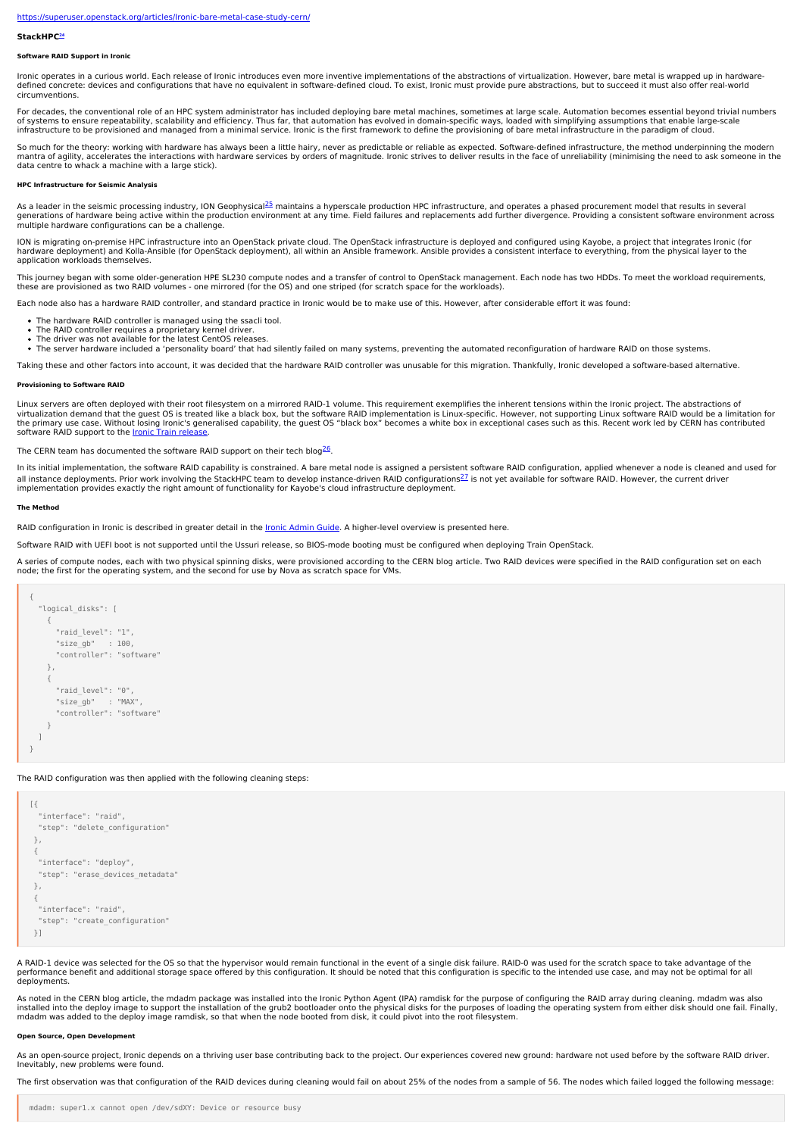#### <https://superuser.openstack.org/articles/Ironic-bare-metal-case-study-cern/>

#### **StackHPC [24](file:///tmp/bare-metal/white-paper#24)**

# **Software RAID Support in Ironic**

Ironic operates in a curious world. Each release of Ironic introduces even more inventive implementations of the abstractions of virtualization. However, bare metal is wrapped up in hardwaredefined concrete: devices and configurations that have no equivalent in software-defined cloud. To exist, Ironic must provide pure abstractions, but to succeed it must also offer real-world circumventions.

For decades, the conventional role of an HPC system administrator has included deploying bare metal machines, sometimes at large scale. Automation becomes essential beyond trivial numbers of systems to ensure repeatability, scalability and efficiency. Thus far, that automation has evolved in domain-specific ways, loaded with simplifying assumptions that enable large-scale infrastructure to be provisioned and managed from a minimal service. Ironic is the first framework to define the provisioning of bare metal infrastructure in the paradigm of cloud.

So much for the theory: working with hardware has always been a little hairy, never as predictable or reliable as expected. Software-defined infrastructure, the method underpinning the modern mantra of agility, accelerates the interactions with hardware services by orders of magnitude. Ironic strives to deliver results in the face of unreliability (minimising the need to ask someone in the data centre to whack a machine with a large stick).

## **HPC Infrastructure for Seismic Analysis**

As a leader in the seismic processing industry, ION Geophysical<sup>[25](file:///tmp/bare-metal/white-paper#25)</sup> maintains a hyperscale production HPC infrastructure, and operates a phased procurement model that results in several<br>generations of hardware being active multiple hardware configurations can be a challenge.

ION is migrating on-premise HPC infrastructure into an OpenStack private cloud. The OpenStack infrastructure is deployed and configured using Kayobe, a project that integrates Ironic (for hardware deployment) and Kolla-Ansible (for OpenStack deployment), all within an Ansible framework. Ansible provides a consistent interface to everything, from the physical layer to the application workloads themselves.

This journey began with some older-generation HPE SL230 compute nodes and a transfer of control to OpenStack management. Each node has two HDDs. To meet the workload requirements, these are provisioned as two RAID volumes - one mirrored (for the OS) and one striped (for scratch space for the workloads).

Each node also has a hardware RAID controller, and standard practice in Ironic would be to make use of this. However, after considerable effort it was found:

- The hardware RAID controller is managed using the ssacli tool.
- The RAID controller requires a proprietary kernel driver.<br>The driver was not available for the latest CentOS releases.
- 
- The server hardware included a 'personality board' that had silently failed on many systems, preventing the automated reconfiguration of hardware RAID on those systems.

Taking these and other factors into account, it was decided that the hardware RAID controller was unusable for this migration. Thankfully, Ironic developed a software-based alternative.

#### **Provisioning to Software RAID**

Linux servers are often deployed with their root filesystem on a mirrored RAID-1 volume. This requirement exemplifies the inherent tensions within the Ironic project. The abstractions of<br>virtualization demand that the gues the primary use case. Without losing Ironic's generalised capability, the guest OS "black box" becomes a white box in exceptional cases such as this. Recent work led by CERN has contributed<br>software RAID support to the <u>Ir</u>

The CERN team has documented the software RAID support on their tech blog<sup>[26](file:///tmp/bare-metal/white-paper#26)</sup>.

In its initial implementation, the software RAID capability is constrained. A bare metal node is assigned a persistent software RAID configuration, applied whenever a node is cleaned and used for all instance deployments. Prior work involving the StackHPC team to develop instance-driven RAID configurations<sup>[27](file:///tmp/bare-metal/white-paper#27)</sup> is not yet available for software RAID. However, the current driver<br>implementation provides exactly the ri

#### **The Method**

RAID configuration in Ironic is described in greater detail in the Ironic [Admin](https://docs.openstack.org/ironic/latest/admin/raid.html#software-raid) Guide. A higher-level overview is presented here

Software RAID with UEFI boot is not supported until the Ussuri release, so BIOS-mode booting must be configured when deploying Train OpenStack.

A series of compute nodes, each with two physical spinning disks, were provisioned according to the CERN blog article. Two RAID devices were specified in the RAID configuration set on each<br>node; the first for the operating

```
{
 "logical_disks": [
   {
     "raid_level": "1",
     "size_gb" : 100,
     "controller": "software"
   },
   {
     "raid_level": "0",
     "size_gb" : "MAX",
     "controller": "software"
   }
\overline{1}}
```
The RAID configuration was then applied with the following cleaning steps:

| "interface": "raid",             |
|----------------------------------|
| "step": "delete configuration"   |
| },                               |
| ſ                                |
| "interface": "deploy",           |
| "step": "erase devices metadata" |
| },                               |
| ſ                                |
| "interface": "raid".             |
| "step": "create configuration"   |
| λl                               |
|                                  |

A RAID-1 device was selected for the OS so that the hypervisor would remain functional in the event of a single disk failure. RAID-0 was used for the scratch space to take advantage of the performance benefit and additional storage space offered by this configuration. It should be noted that this configuration is specific to the intended use case, and may not be optimal for all deployments.

As noted in the CERN blog article, the mdadm package was installed into the Ironic Python Agent (IPA) ramdisk for the purpose of configuring the RAID array during cleaning. mdadm was also<br>installed into the deploy image to mdadm was added to the deploy image ramdisk, so that when the node booted from disk, it could pivot into the root filesystem.

# **Open Source, Open Develop**

As an open-source project, Ironic depends on a thriving user base contributing back to the project. Our experiences covered new ground: hardware not used before by the software RAID driver. Inevitably, new problems were found.

The first observation was that configuration of the RAID devices during cleaning would fail on about 25% of the nodes from a sample of 56. The nodes which failed logged the following message: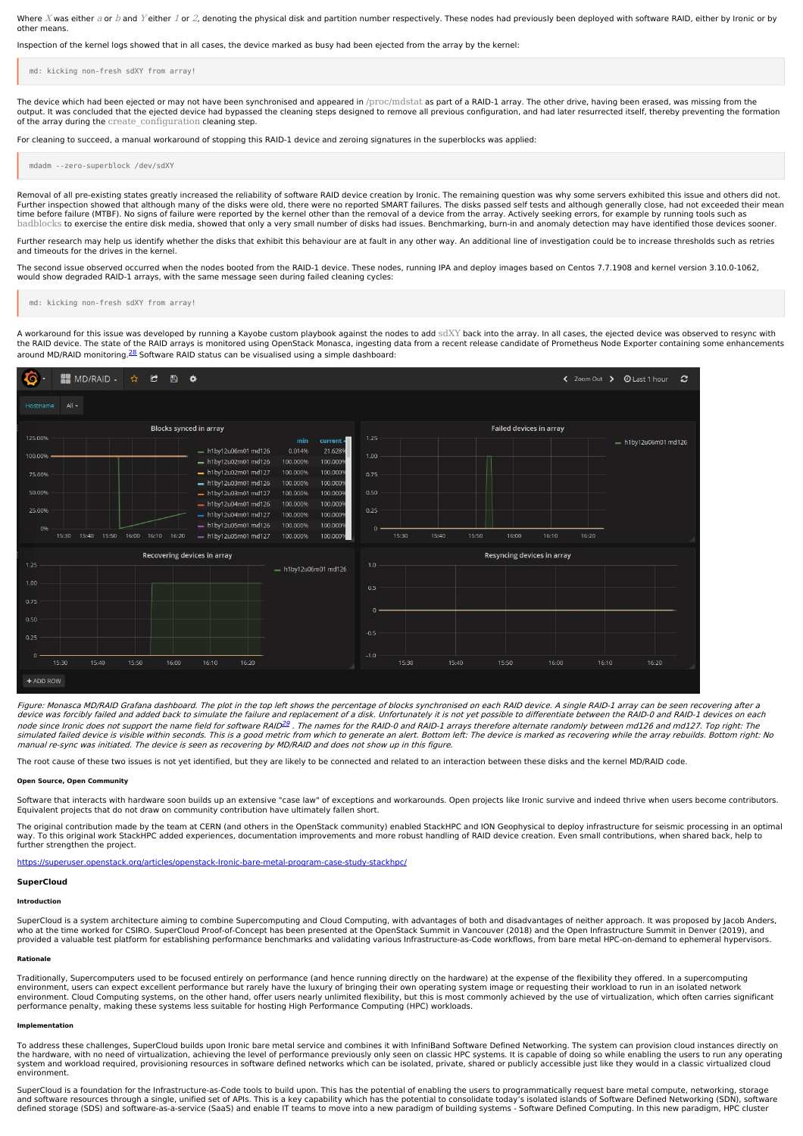Where X was either a or b and Y either 1 or 2, denoting the physical disk and partition number respectively. These nodes had previously been deployed with software RAID, either by Ironic or by other means.

Inspection of the kernel logs showed that in all cases, the device marked as busy had been ejected from the array by the kernel:

md: kicking non-fresh sdXY from array!

The device which had been ejected or may not have been synchronised and appeared in /proc/mdstat as part of a RAID-1 array. The other drive, having been erased, was missing from the output. It was concluded that the ejected device had bypassed the cleaning steps designed to remove all previous configuration, and had later resurrected itself, thereby preventing the formation of the array during the create configuration cleaning step.

For cleaning to succeed, a manual workaround of stopping this RAID-1 device and zeroing signatures in the superblocks was applied:

mdadm --zero-superblock /dev/sdXY

Removal of all pre-existing states greatly increased the reliability of software RAID device creation by Ironic. The remaining question was why some servers exhibited this issue and others did not.<br>Further inspection showe time before failure (MTBF). No signs of failure were reported by the kernel other than the removal of a device from the array. Actively seeking errors, for example by running tools such as badblocks to exercise the entire disk media, showed that only a very small number of disks had issues. Benchmarking, burn-in and anomaly detection may have identified those devices sooner.

er research may help us identify whether the disks that exhibit this behaviour are at fault in any other way. An additional line of investigation could be to increase thresholds such as retries and timeouts for the drives in the kernel.

The second issue observed occurred when the nodes booted from the RAID-1 device. These nodes, running IPA and deploy images based on Centos 7.7.1908 and kernel version 3.10.0-1062, would show degraded RAID-1 arrays, with the same message seen during failed cleaning cycles:

md: kicking non-fresh sdXY from array!

A workaround for this issue was developed by running a Kayobe custom playbook against the nodes to add sdXY back into the array. In all cases, the ejected device was observed to resync with the RAID device. The state of the RAID arrays is monitored using OpenStack Monasca, ingesting data from a recent release candidate of Prometheus Node Exporter containing some enhancements around MD/RAID monitoring.<sup>[28](file:///tmp/bare-metal/white-paper#28)</sup> Software RAID status can be visualised using a simple dashboard:



Figure: Monasca MD/RAID Grafana dashboard. The plot in the top left shows the percentage of blocks synchronised on each RAID device. A single RAID-1 array can be seen recovering after <sup>a</sup> device was forcibly failed and added back to simulate the failure and replacement of a disk. Unfortunately it is not yet possible to differentiate between the RAID-0 and RAID-1 devices on each node since Ironic does not support the name field for software RAID<sup>[29](file:///tmp/bare-metal/white-paper#29)</sup> . The names for the RAID-0 and RAID-0 and RAID-1 arrays therefore alternate randomly between md126 and md127. Top right: The<br>simulated failed device i manual re-sync was initiated. The device is seen as recovering by MD/RAID and does not show up in this figure.

The root cause of these two issues is not yet identified, but they are likely to be connected and related to an interaction between these disks and the kernel MD/RAID code.

#### **Open Source, Open Community**

Software that interacts with hardware soon builds up an extensive "case law" of exceptions and workarounds. Open projects like Ironic survive and indeed thrive when users become contributors. Equivalent projects that do not draw on community contribution have ultimately fallen short.

The original contribution made by the team at CERN (and others in the OpenStack community) enabled StackHPC and ION Geophysical to deploy infrastructure for seismic processing in an optimal<br>way. To this original work Stack

<https://superuser.openstack.org/articles/openstack-Ironic-bare-metal-program-case-study-stackhpc/>

#### **SuperCloud**

#### **Introduction**

SuperCloud is a system architecture aiming to combine Supercomputing and Cloud Computing, with advantages of both and disadvantages of neither approach. It was proposed by Jacob Anders, who at the time worked for CSIRO. SuperCloud Proof-of-Concept has been presented at the OpenStack Summit in Vancouver (2018) and the Open Infrastructure Summit in Denver (2019), and provided a valuable test platform for establishing performance benchmarks and validating various Infrastructure-as-Code workflows, from bare metal HPC-on-demand to ephemeral hypervisors.

#### **Rationale**

Traditionally, Supercomputers used to be focused entirely on performance (and hence running directly on the hardware) at the expense of the flexibility they offered. In a supercomputing environment, users can expect excellent performance but rarely have the luxury of bringing their own operating system image or requesting their workload to run in an isolated network<br>environment. Cloud Computing systems, o performance penalty, making these systems less suitable for hosting High Performance Computing (HPC) workloads.

#### **Implementation**

To address these challenges, SuperCloud builds upon Ironic bare metal service and combines it with InfiniBand Software Defined Networking. The system can provision cloud instances directly on the hardware, with no need of virtualization, achieving the level of performance previously only seen on classic HPC systems. It is capable of doing so while enabling the users to run any operating system and workload required, provisioning resources in software defined networks which can be isolated, private, shared or publicly accessible just like they would in a classic virtualized cloud environment.

SuperCloud is a foundation for the Infrastructure-as-Code tools to build upon. This has the potential of enabling the users to programmatically request bare metal compute, networking, storage and software resources through a single, unified set of APIs. This is a key capability which has the potential to consolidate today's isolated islands of Software Defined Networking (SDN), software<br>defined storage (SDS) an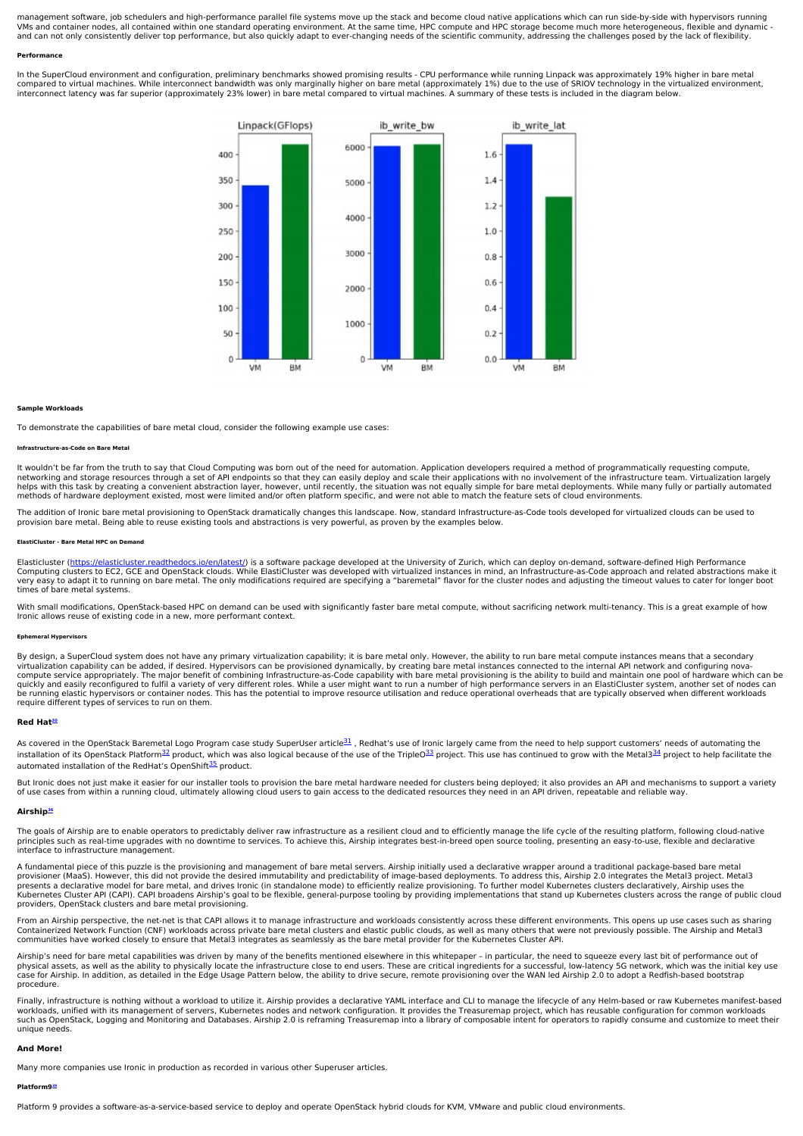management software, job schedulers and high-performance parallel file systems move up the stack and become cloud native applications which can run side-by-side with hypervisors running<br>VMs and container nodes, all contain and can not only consistently deliver top performance, but also quickly adapt to ever-changing needs of the scientific community, addressing the challenges posed by the lack of flexibility.

#### **Performance**

In the SuperCloud environment and configuration, preliminary benchmarks showed promising results - CPU performance while running Linpack was approximately 19% higher in bare metal<br>compared to virtual machines. While interc interconnect latency was far superior (approximately 23% lower) in bare metal compared to virtual machines. A summary of these tests is included in the diagram below.



#### **Sample Workloads**

To demonstrate the capabilities of bare metal cloud, consider the following example use cases:

#### **Infrastructure-as-Code on Bare Metal**

It wouldn't be far from the truth to say that Cloud Computing was born out of the need for automation. Application developers required a method of programmatically requesting compute,<br>networking and storage resources throu

The addition of Ironic bare metal provisioning to OpenStack dramatically changes this landscape. Now, standard Infrastructure-as-Code tools developed for virtualized clouds can be used to<br>provision bare metal. Being able t

#### **ElastiCluster - Bare Metal HPC on Demand**

Elasticluster (<u>https://elasticluster.readthedocs.io/en/latest/</u>) is a software package developed at the University of Zurich, which can deploy on-demand, software-defined High Performance<br>Computing clusters to EC2, GCE an times of bare metal systems.

With small modifications, OpenStack-based HPC on demand can be used with significantly faster bare metal compute, without sacrificing network multi-tenancy. This is a great example of how Ironic allows reuse of existing code in a new, more performant context.

#### **Ephemeral Hypervisors**

By design, a SuperCloud system does not have any primary virtualization capability; it is bare metal only. However, the ability to run bare metal compute instances means that a secondary<br>virtualization capability can be ad quickly and easily reconfigured to fulfil a variety of very different roles. While a user might want to run a number of high performance servers in an ElastiCluster system, another set of nodes can quickly and easily recon be running elastic hypervisors or container nodes. This has the potential to improve resource utilisation and reduce operational overheads that are typically observed when different workloads require different types of services to run on them.

#### **Red Hat [30](file:///tmp/bare-metal/white-paper#30)**

As covered in the OpenStack Baremetal Logo Program case study SuperUser article<sup>[31](file:///tmp/bare-metal/white-paper#31)</sup>, Redhat's use of Ironic largely came from the need to help support customers' needs of automating the installation of its OpenStack Platform<sup>[32](file:///tmp/bare-metal/white-paper#32)</sup> product, which was also logical because of the use of the TripleO<sup>[33](file:///tmp/bare-metal/white-paper#33)</sup> project. This use has continued to grow with the Metal3<sup>[34](file:///tmp/bare-metal/white-paper#34)</sup> project to help facilitate the automated installation of the RedHat's OpenShift<sup>[35](file:///tmp/bare-metal/white-paper#35)</sup> product.

But Ironic does not just make it easier for our installer tools to provision the bare metal hardware needed for clusters being deployed; it also provides an API and mechanisms to support a variety<br>of use cases from within

#### **Airship [36](file:///tmp/bare-metal/white-paper#36)**

The goals of Airship are to enable operators to predictably deliver raw infrastructure as a resilient cloud and to efficiently manage the life cycle of the resulting platform, following cloud-native<br>principles such as real interface to infrastructure management.

A fundamental piece of this puzzle is the provisioning and management of bare metal servers. Airship initially used a declarative wrapper around a traditional package-based bare metal provisioner (MaaS). However, this did not provide the desired immutability and predictability of image-based deployments. To address this, Airship 2.0 integrates the Metal3 project. Metal3<br>presents a declarative model for providers, OpenStack clusters and bare metal provisioning.

From an Airship perspective, the net-net is that CAPI allows it to manage infrastructure and workloads consistently across these different environments. This opens up use cases such as sharing Containerized Network Function (CNF) workloads across private bare metal clusters and elastic public clouds, as well as many others that were not previously possible. The Airship and Metal3<br>communities have worked closely

Airship's need for bare metal capabilities was driven by many of the benefits mentioned elsewhere in this whitepaper – in particular, the need to squeeze every last bit of performance out of<br>physical assets, as well as the case for Airship. In addition, as detailed in the Edge Usage Pattern below, the ability to drive secure, remote provisioning over the WAN led Airship 2.0 to adopt a Redfish-based bootstrap procedure.

Finally, infrastructure is nothing without a workload to utilize it. Airship provides a declarative YAML interface and CLI to manage the lifecycle of any Helm-based or raw Kubernetes manifest-based<br>workloads, unified with unique needs.

#### **And More!**

Many more companies use Ironic in production as recorded in various other Superuser articles.

#### **Platform9 [39](file:///tmp/bare-metal/white-paper#39)**

Platform 9 provides a software-as-a-service-based service to deploy and operate OpenStack hybrid clouds for KVM, VMware and public cloud environments.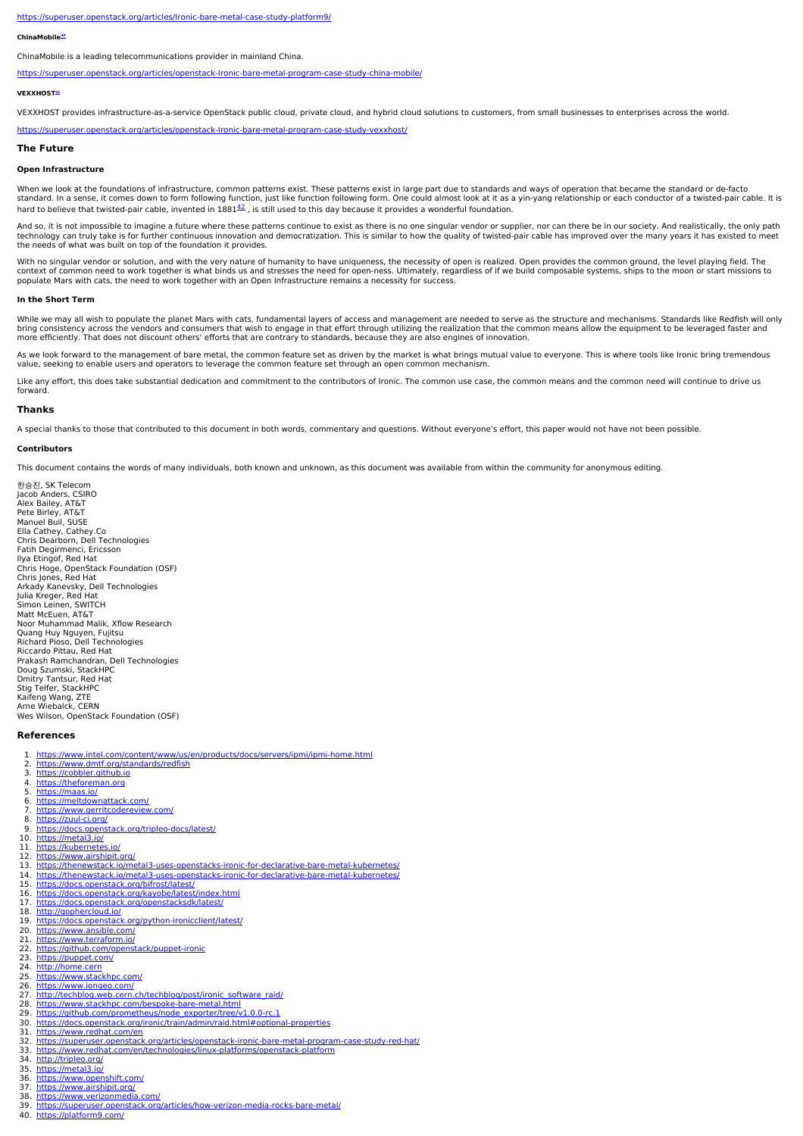#### <https://superuser.openstack.org/articles/Ironic-bare-metal-case-study-platform9/>

#### **ChinaMobile [40](file:///tmp/bare-metal/white-paper#40)**

ChinaMobile is a leading telecommunications provider in mainland China.

<https://superuser.openstack.org/articles/openstack-Ironic-bare-metal-program-case-study-china-mobile/>

#### **VEXXHOST [41](file:///tmp/bare-metal/white-paper#41)**

VEXXHOST provides infrastructure-as-a-service OpenStack public cloud, private cloud, and hybrid cloud solutions to customers, from small businesses to enterprises across the world.

<https://superuser.openstack.org/articles/openstack-Ironic-bare-metal-program-case-study-vexxhost/>

# **The Future**

# **Open Infrastructure**

When we look at the foundations of infrastructure, common patterns exist. These patterns exist in large part due to standards and ways of operation that became the standard or de-facto standard. In a sense, it comes down to form following function, just like function following form. One could almost look at it as a yin-yang relationship or each conductor of a twisted-pair cable. It is hard to believe that twisted-pair cable, invented in  $1881<sup>42</sup>$  $1881<sup>42</sup>$  $1881<sup>42</sup>$ , is still used to this day because it provides a wonderful foundation.

And so, it is not impossible to imagine a future where these patterns continue to exist as there is no one singular vendor or supplier, nor can there be in our society. And realistically, the only path<br>technology can truly the needs of what was built on top of the foundation it provides.

With no singular vendor or solution, and with the very nature of humanity to have uniqueness, the necessity of open is realized. Open provides the common ground, the level playing field. The context of common need to work together is what binds us and stresses the need for open-ness. Ultimately, regardless of if we build composable systems, ships to the moon or start missions to<br>populate Mars with cats, the ne

# **In the Short Term**

While we may all wish to populate the planet Mars with cats, fundamental layers of access and management are needed to serve as the structure and mechanisms. Standards like Redfish will only bring consistency across the vendors and consumers that wish to engage in that effort through utilizing the realization that the common means allow the equipment to be leveraged faster and<br>more efficiently. That does not d

As we look forward to the management of bare metal, the common feature set as driven by the market is what brings mutual value to everyone. This is where tools like Ironic bring tremendous<br>value, seeking to enable users an

Like any effort, this does take substantial dedication and commitment to the contributors of Ironic. The common use case, the common means and the common need will continue to drive us forward.

# **Thanks**

A special thanks to those that contributed to this document in both words, commentary and questions. Without everyone's effort, this paper would not have not been possible.

### **Contributors**

This document contains the words of many individuals, both known and unknown, as this document was available from within the community for anonymous editing.

한승진, SK Telecom Jacob Anders, CSIRO Alex Bailey, AT&T Pete Birley, AT&T Manuel Buil, SUSE Ella Cathey, Cathey.Co Chris Dearborn, Dell Technologies<br>Fatih Degirmenci, Ericsson Ilya Etingof, Red Hat Chris Hoge, OpenStack Foundation (OSF) Chris Jones, Red Hat<br>Arkady Kanevsky, Dell Technologies<br>Julia Kreger, Red Hat Simon Leinen, SWITCH<br>Matt McEuen, AT&T Noor Muhammad Malik, Xflow Research Quang Huy Nguyen, Fujitsu Richard Pioso, Dell Technologies Riccardo Pittau, Red Hat Prakash Ramchandran, Dell Technologies Doug Szumski, StackHPC Dmitry Tantsur, Red Hat Stig Telfer, StackHPC Kaifeng Wang, ZTE<br>Arne Wiebalck, CERN Wes Wilson, OpenStack Foundation (OSF)

#### **References**

40. <https://platform9.com/>

1. <https://www.intel.com/content/www/us/en/products/docs/servers/ipmi/ipmi-home.html> 2. <u><https://www.dmtf.org/standards/redfish></u><br>3. <u>[https://cobbler.github.io](https://cobbler.github.io/)</u> 4. [https://theforeman.org](https://theforeman.org/)<br>5. https://maas.io/ 5. <https://maas.io/><br>6. https://meltdow<br>7. https://www.ger 6. <u><https://meltdownattack.com/></u><br>7. <u><https://www.gerritcodereview.com/></u> 8. <https://zuul-ci.org/><br>9. https://docs.opens<br>10. https://metal3.io/ 9. <https://docs.openstack.org/tripleo-docs/latest/><br>10. <https://metal3.io/> 11. <u><https://kubernetes.io/></u><br>12. <u><https://www.airshipit.org/></u> 13. <https://thenewstack.io/metal3-uses-openstacks-ironic-for-declarative-bare-metal-kubernetes/><br>14. https://thenewstack.io/metal3-uses-openstacks-ironic-for-declarative-bare-metal-kubernetes/ 14. <https://thenewstack.io/metal3-uses-openstacks-ironic-for-declarative-bare-metal-kubernetes/><br>15. https://docs.openstack.io/metal3-uses-openstacks-ironic-for-declarative-bare-metal-kubernetes/ 15. <https://docs.openstack.org/bifrost/latest/><br>16. https://docs.openstack.org/kayobe/latest 16. <https://docs.openstack.org/kayobe/latest/index.html><br>17. <u><https://docs.openstack.org/openstacksdk/latest/></u> 18. <u><http://gophercloud.io/></u><br>19. <u><https://docs.openstack.org/python-ironicclient/latest/></u> 20. <https://www.ansible.com/><br>21. https://www.terraform.io/ 21. <https://www.terraform.io/><br>22. https://github.com/opensi 22. <https://github.com/openstack/puppet-ironic><br>23. https://puppet.com/ 23. <https://puppet.com/><br>24. http://home.cern 24. [http://home.cern](http://home.cern/)<br>25. https://www.stacl<br>26. https://www.jong <https://www.stackhpc.com/> 26. <https://www.iongeo.com/><br>27. http://techblog.web.cern [http://techblog.web.cern.ch/techblog/post/ironic\\_software\\_raid/](http://techblog.web.cern.ch/techblog/post/ironic_software_raid/) 28. <https://www.stackhpc.com/bespoke-bare-metal.html><br>29. https://github.com/prometheus/node-exporter/tree/v 29. <u>[https://github.com/prometheus/node\\_exporter/tree/v1.0.0-rc.1](https://github.com/prometheus/node_exporter/tree/v1.0.0-rc.1)</u><br>30. <u><https://docs.openstack.org/ironic/train/admin/raid.html#optional-properties></u> 31. <https://www.redhat.com/en><br>32. <https://superuser.openstack.org/articles/openstack-ironic-bare-metal-program-case-study-red-hat/><br>33. <u><https://www.redhat.com/en/technologies/linux-platforms/openstack-platform></u> 34. <http://tripleo.org/><br>35. https://metal3.io/ 35. <https://metal3.io/><br>36. https://www.oper<br>37. https://www.airsh <https://www.openshift.com/> 37. <https://www.airshipit.org/><br>38. https://www.verizonmedia 38. <https://www.verizonmedia.com/><br>39. <u><https://superuser.openstack.org/articles/how-verizon-media-rocks-bare-metal/></u>